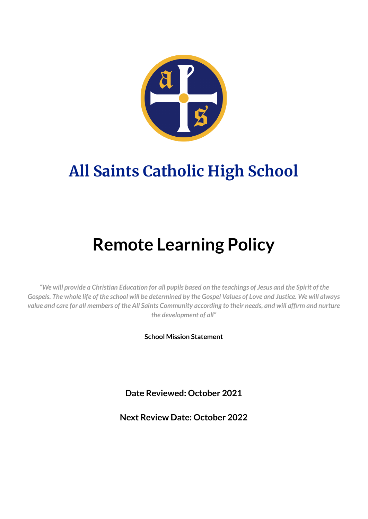

# **All Saints Catholic High School**

# **Remote Learning Policy**

"We will provide a Christian Education for all pupils based on the teachings of Jesus and the Spirit of the Gospels. The whole life of the school will be determined by the Gospel Values of Love and Justice. We will always value and care for all members of the All Saints Community according to their needs, and will affirm and nurture *the development of all"*

**School Mission Statement**

**Date Reviewed: October 2021**

**Next Review Date: October 2022**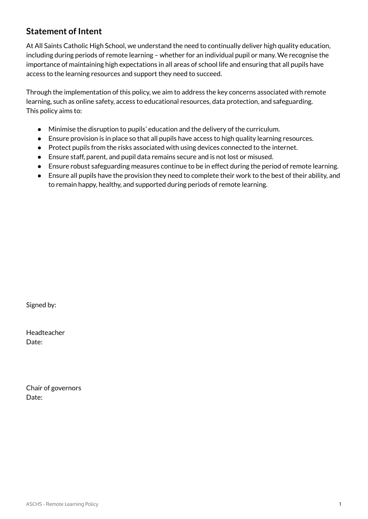# **Statement of Intent**

At All Saints Catholic High School, we understand the need to continually deliver high quality education, including during periods of remote learning – whether for an individual pupil or many. We recognise the importance of maintaining high expectations in all areas of school life and ensuring that all pupils have access to the learning resources and support they need to succeed.

Through the implementation of this policy, we aim to address the key concerns associated with remote learning, such as online safety, access to educational resources, data protection, and safeguarding. This policy aims to:

- Minimise the disruption to pupils' education and the delivery of the curriculum.
- Ensure provision is in place so that all pupils have access to high quality learning resources.
- Protect pupils from the risks associated with using devices connected to the internet.
- Ensure staff, parent, and pupil data remains secure and is not lost or misused.
- Ensure robust safeguarding measures continue to be in effect during the period of remote learning.
- Ensure all pupils have the provision they need to complete their work to the best of their ability, and to remain happy, healthy, and supported during periods of remote learning.

Signed by:

Headteacher Date:

Chair of governors Date: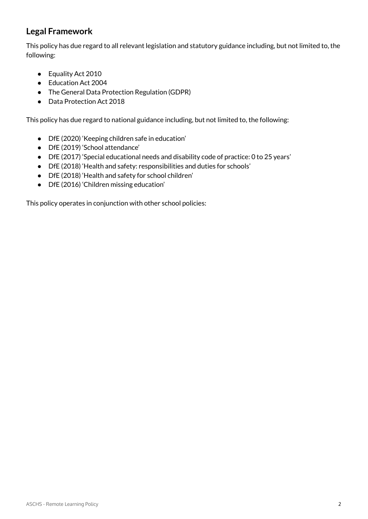# **Legal Framework**

This policy has due regard to all relevant legislation and statutory guidance including, but not limited to, the following:

- Equality Act 2010
- Education Act 2004
- The General Data Protection Regulation (GDPR)
- Data Protection Act 2018

This policy has due regard to national guidance including, but not limited to, the following:

- DfE (2020) 'Keeping children safe in education'
- DfE (2019) 'School attendance'
- DfE (2017) 'Special educational needs and disability code of practice: 0 to 25 years'
- DfE (2018) 'Health and safety: responsibilities and duties for schools'
- DfE (2018) 'Health and safety for school children'
- DfE (2016) 'Children missing education'

This policy operates in conjunction with other school policies: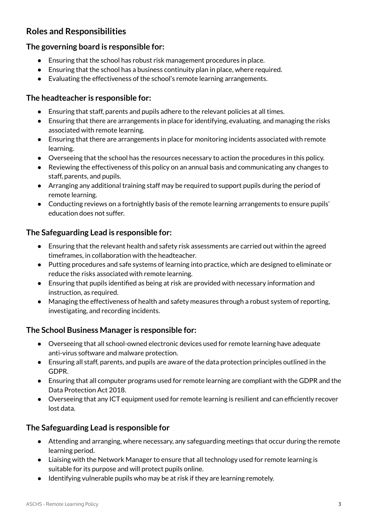# **Roles and Responsibilities**

## **The governing board is responsible for:**

- Ensuring that the school has robust risk management procedures in place.
- Ensuring that the school has a business continuity plan in place, where required.
- Evaluating the effectiveness of the school's remote learning arrangements.

#### **The headteacher is responsible for:**

- Ensuring that staff, parents and pupils adhere to the relevant policies at all times.
- Ensuring that there are arrangements in place for identifying, evaluating, and managing the risks associated with remote learning.
- Ensuring that there are arrangements in place for monitoring incidents associated with remote learning.
- Overseeing that the school has the resources necessary to action the procedures in this policy.
- Reviewing the effectiveness of this policy on an annual basis and communicating any changes to staff, parents, and pupils.
- Arranging any additional training staff may be required to support pupils during the period of remote learning.
- Conducting reviews on a fortnightly basis of the remote learning arrangements to ensure pupils' education does not suffer.

## **The Safeguarding Lead is responsible for:**

- Ensuring that the relevant health and safety risk assessments are carried out within the agreed timeframes, in collaboration with the headteacher.
- Putting procedures and safe systems of learning into practice, which are designed to eliminate or reduce the risks associated with remote learning.
- Ensuring that pupils identified as being at risk are provided with necessary information and instruction, as required.
- Managing the effectiveness of health and safety measures through a robust system of reporting, investigating, and recording incidents.

## **The School Business Manager is responsible for:**

- Overseeing that all school-owned electronic devices used for remote learning have adequate anti-virus software and malware protection.
- Ensuring all staff, parents, and pupils are aware of the data protection principles outlined in the GDPR.
- Ensuring that all computer programs used for remote learning are compliant with the GDPR and the Data Protection Act 2018.
- Overseeing that any ICT equipment used for remote learning is resilient and can efficiently recover lost data.

## **The Safeguarding Lead is responsible for**

- Attending and arranging, where necessary, any safeguarding meetings that occur during the remote learning period.
- Liaising with the Network Manager to ensure that all technology used for remote learning is suitable for its purpose and will protect pupils online.
- Identifying vulnerable pupils who may be at risk if they are learning remotely.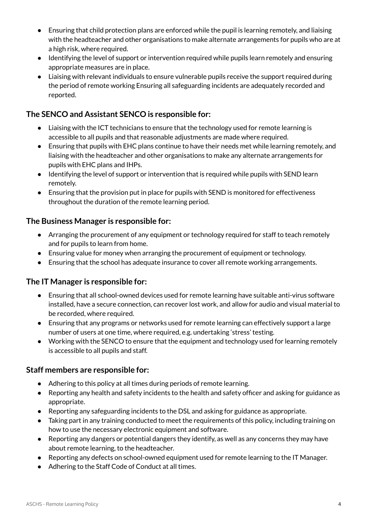- Ensuring that child protection plans are enforced while the pupil is learning remotely, and liaising with the headteacher and other organisations to make alternate arrangements for pupils who are at a high risk, where required.
- Identifying the level of support or intervention required while pupils learn remotely and ensuring appropriate measures are in place.
- Liaising with relevant individuals to ensure vulnerable pupils receive the support required during the period of remote working Ensuring all safeguarding incidents are adequately recorded and reported.

## **The SENCO and Assistant SENCO is responsible for:**

- Liaising with the ICT technicians to ensure that the technology used for remote learning is accessible to all pupils and that reasonable adjustments are made where required.
- Ensuring that pupils with EHC plans continue to have their needs met while learning remotely, and liaising with the headteacher and other organisations to make any alternate arrangements for pupils with EHC plans and IHPs.
- Identifying the level of support or intervention that is required while pupils with SEND learn remotely.
- Ensuring that the provision put in place for pupils with SEND is monitored for effectiveness throughout the duration of the remote learning period.

## **The Business Manager is responsible for:**

- Arranging the procurement of any equipment or technology required for staff to teach remotely and for pupils to learn from home.
- Ensuring value for money when arranging the procurement of equipment or technology.
- Ensuring that the school has adequate insurance to cover all remote working arrangements.

## **The IT Manager is responsible for:**

- Ensuring that all school-owned devices used for remote learning have suitable anti-virus software installed, have a secure connection, can recover lost work, and allow for audio and visual material to be recorded, where required.
- Ensuring that any programs or networks used for remote learning can effectively support a large number of users at one time, where required, e.g. undertaking 'stress' testing.
- Working with the SENCO to ensure that the equipment and technology used for learning remotely is accessible to all pupils and staff.

## **Staff members are responsible for:**

- Adhering to this policy at all times during periods of remote learning.
- Reporting any health and safety incidents to the health and safety officer and asking for guidance as appropriate.
- Reporting any safeguarding incidents to the DSL and asking for guidance as appropriate.
- Taking part in any training conducted to meet the requirements of this policy, including training on how to use the necessary electronic equipment and software.
- Reporting any dangers or potential dangers they identify, as well as any concerns they may have about remote learning, to the headteacher.
- Reporting any defects on school-owned equipment used for remote learning to the IT Manager.
- Adhering to the Staff Code of Conduct at all times.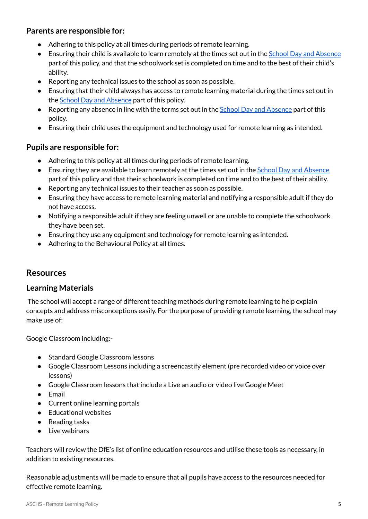#### **Parents are responsible for:**

- Adhering to this policy at all times during periods of remote learning.
- Ensuring their child is available to learn remotely at the times set out in the School Day and [Absence](#page-11-0) part of this policy, and that the schoolwork set is completed on time and to the best of their child's ability.
- Reporting any technical issues to the school as soon as possible.
- Ensuring that their child always has access to remote learning material during the times set out in the **School Day and [Absence](#page-11-0)** part of this policy.
- Reporting any absence in line with the terms set out in the School Day and [Absence](#page-11-0) part of this policy.
- Ensuring their child uses the equipment and technology used for remote learning as intended.

#### **Pupils are responsible for:**

- Adhering to this policy at all times during periods of remote learning.
- Ensuring they are available to learn remotely at the times set out in the School Day and [Absence](#page-11-0) part of this policy and that their schoolwork is completed on time and to the best of their ability.
- Reporting any technical issues to their teacher as soon as possible.
- Ensuring they have access to remote learning material and notifying a responsible adult if they do not have access.
- Notifying a responsible adult if they are feeling unwell or are unable to complete the schoolwork they have been set.
- Ensuring they use any equipment and technology for remote learning as intended.
- Adhering to the Behavioural Policy at all times.

## **Resources**

#### **Learning Materials**

The school will accept a range of different teaching methods during remote learning to help explain concepts and address misconceptions easily. For the purpose of providing remote learning, the school may make use of:

Google Classroom including:-

- Standard Google Classroom lessons
- Google Classroom Lessons including a screencastify element (pre recorded video or voice over lessons)
- Google Classroom lessons that include a Live an audio or video live Google Meet
- Email
- Current online learning portals
- Educational websites
- Reading tasks
- Live webinars

Teachers will review the DfE's list of online education resources and utilise these tools as necessary, in addition to existing resources.

Reasonable adjustments will be made to ensure that all pupils have access to the resources needed for effective remote learning.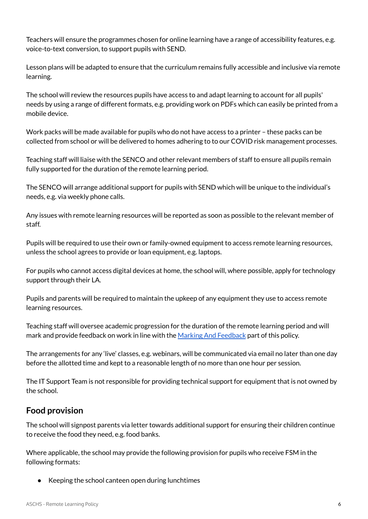Teachers will ensure the programmes chosen for online learning have a range of accessibility features, e.g. voice-to-text conversion, to support pupils with SEND.

Lesson plans will be adapted to ensure that the curriculum remains fully accessible and inclusive via remote learning.

The school will review the resources pupils have access to and adapt learning to account for all pupils' needs by using a range of different formats, e.g. providing work on PDFs which can easily be printed from a mobile device.

Work packs will be made available for pupils who do not have access to a printer – these packs can be collected from school or will be delivered to homes adhering to to our COVID risk management processes.

Teaching staff will liaise with the SENCO and other relevant members of staff to ensure all pupils remain fully supported for the duration of the remote learning period.

The SENCO will arrange additional support for pupils with SEND which will be unique to the individual's needs, e.g. via weekly phone calls.

Any issues with remote learning resources will be reported as soon as possible to the relevant member of staff.

Pupils will be required to use their own or family-owned equipment to access remote learning resources, unless the school agrees to provide or loan equipment, e.g. laptops.

For pupils who cannot access digital devices at home, the school will, where possible, apply for technology support through their LA.

Pupils and parents will be required to maintain the upkeep of any equipment they use to access remote learning resources.

Teaching staff will oversee academic progression for the duration of the remote learning period and will mark and provide feedback on work in line with the Marking And [Feedback](#page-10-0) part of this policy.

The arrangements for any 'live' classes, e.g. webinars, will be communicated via email no later than one day before the allotted time and kept to a reasonable length of no more than one hour per session.

The IT Support Team is not responsible for providing technical support for equipment that is not owned by the school.

## **Food provision**

The school will signpost parents via letter towards additional support for ensuring their children continue to receive the food they need, e.g. food banks.

Where applicable, the school may provide the following provision for pupils who receive FSM in the following formats:

● Keeping the school canteen open during lunchtimes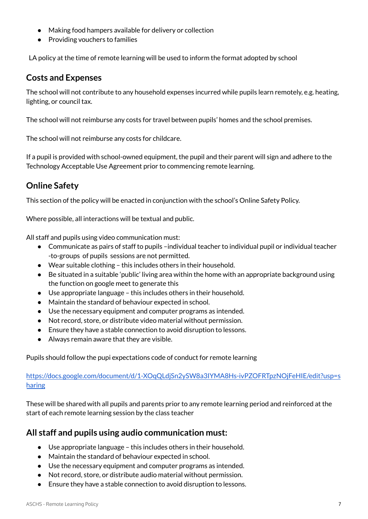- Making food hampers available for delivery or collection
- Providing vouchers to families

LA policy at the time of remote learning will be used to inform the format adopted by school

## **Costs and Expenses**

The school will not contribute to any household expenses incurred while pupils learn remotely, e.g. heating, lighting, or council tax.

The school will not reimburse any costs for travel between pupils' homes and the school premises.

The school will not reimburse any costs for childcare.

If a pupil is provided with school-owned equipment, the pupil and their parent will sign and adhere to the Technology Acceptable Use Agreement prior to commencing remote learning.

# **Online Safety**

This section of the policy will be enacted in conjunction with the school's Online Safety Policy.

Where possible, all interactions will be textual and public.

All staff and pupils using video communication must:

- Communicate as pairs of staff to pupils –individual teacher to individual pupil or individual teacher -to-groups of pupils sessions are not permitted.
- Wear suitable clothing this includes others in their household.
- Be situated in a suitable 'public' living area within the home with an appropriate background using the function on google meet to generate this
- Use appropriate language this includes others in their household.
- Maintain the standard of behaviour expected in school.
- Use the necessary equipment and computer programs as intended.
- Not record, store, or distribute video material without permission.
- Ensure they have a stable connection to avoid disruption to lessons.
- Always remain aware that they are visible.

Pupils should follow the pupi expectations code of conduct for remote learning

[https://docs.google.com/document/d/1-XOqQLdjSn2ySW8a3IYMA8Hs-ivPZOFRTpzNOjFeHIE/edit?usp=s](https://docs.google.com/document/d/1-XOqQLdjSn2ySW8a3IYMA8Hs-ivPZOFRTpzNOjFeHIE/edit?usp=sharing) [haring](https://docs.google.com/document/d/1-XOqQLdjSn2ySW8a3IYMA8Hs-ivPZOFRTpzNOjFeHIE/edit?usp=sharing)

These will be shared with all pupils and parents prior to any remote learning period and reinforced at the start of each remote learning session by the class teacher

## **All staff and pupils using audio communication must:**

- Use appropriate language this includes others in their household.
- Maintain the standard of behaviour expected in school.
- Use the necessary equipment and computer programs as intended.
- Not record, store, or distribute audio material without permission.
- Ensure they have a stable connection to avoid disruption to lessons.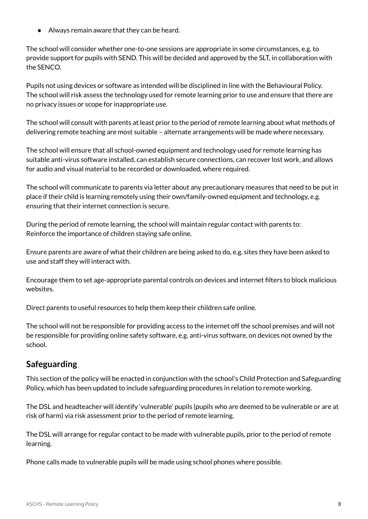Always remain aware that they can be heard.

The school will consider whether one-to-one sessions are appropriate in some circumstances, e.g. to provide support for pupils with SEND. This will be decided and approved by the SLT, in collaboration with the SENCO.

Pupils not using devices or software as intended will be disciplined in line with the Behavioural Policy. The school will risk assess the technology used for remote learning prior to use and ensure that there are no privacy issues or scope for inappropriate use.

The school will consult with parents at least prior to the period of remote learning about what methods of delivering remote teaching are most suitable – alternate arrangements will be made where necessary.

The school will ensure that all school-owned equipment and technology used for remote learning has suitable anti-virus software installed, can establish secure connections, can recover lost work, and allows for audio and visual material to be recorded or downloaded, where required.

The school will communicate to parents via letter about any precautionary measures that need to be put in place if their child is learning remotely using their own/family-owned equipment and technology, e.g. ensuring that their internet connection is secure.

During the period of remote learning, the school will maintain regular contact with parents to: Reinforce the importance of children staying safe online.

Ensure parents are aware of what their children are being asked to do, e.g. sites they have been asked to use and staff they will interact with.

Encourage them to set age-appropriate parental controls on devices and internet filters to block malicious websites.

Direct parents to useful resources to help them keep their children safe online.

The school will not be responsible for providing access to the internet off the school premises and will not be responsible for providing online safety software, e.g. anti-virus software, on devices not owned by the school.

# **Safeguarding**

This section of the policy will be enacted in conjunction with the school's Child Protection and Safeguarding Policy, which has been updated to include safeguarding procedures in relation to remote working.

The DSL and headteacher will identify 'vulnerable' pupils (pupils who are deemed to be vulnerable or are at risk of harm) via risk assessment prior to the period of remote learning.

The DSL will arrange for regular contact to be made with vulnerable pupils, prior to the period of remote learning.

Phone calls made to vulnerable pupils will be made using school phones where possible.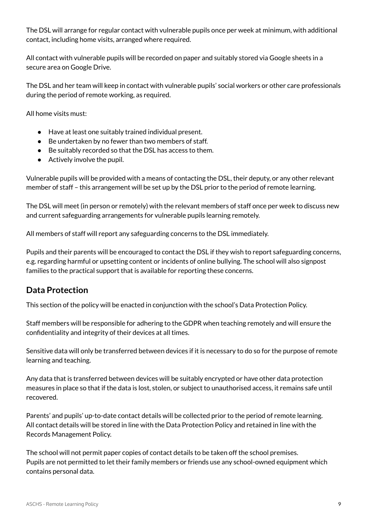The DSL will arrange for regular contact with vulnerable pupils once per week at minimum, with additional contact, including home visits, arranged where required.

All contact with vulnerable pupils will be recorded on paper and suitably stored via Google sheets in a secure area on Google Drive.

The DSL and her team will keep in contact with vulnerable pupils' social workers or other care professionals during the period of remote working, as required.

All home visits must:

- Have at least one suitably trained individual present.
- Be undertaken by no fewer than two members of staff.
- Be suitably recorded so that the DSL has access to them.
- Actively involve the pupil.

Vulnerable pupils will be provided with a means of contacting the DSL, their deputy, or any other relevant member of staff – this arrangement will be set up by the DSL prior to the period of remote learning.

The DSL will meet (in person or remotely) with the relevant members of staff once per week to discuss new and current safeguarding arrangements for vulnerable pupils learning remotely.

All members of staff will report any safeguarding concerns to the DSL immediately.

Pupils and their parents will be encouraged to contact the DSL if they wish to report safeguarding concerns, e.g. regarding harmful or upsetting content or incidents of online bullying. The school will also signpost families to the practical support that is available for reporting these concerns.

## **Data Protection**

This section of the policy will be enacted in conjunction with the school's Data Protection Policy.

Staff members will be responsible for adhering to the GDPR when teaching remotely and will ensure the confidentiality and integrity of their devices at all times.

Sensitive data will only be transferred between devices if it is necessary to do so for the purpose of remote learning and teaching.

Any data that is transferred between devices will be suitably encrypted or have other data protection measures in place so that if the data is lost, stolen, or subject to unauthorised access, it remains safe until recovered.

Parents' and pupils' up-to-date contact details will be collected prior to the period of remote learning. All contact details will be stored in line with the Data Protection Policy and retained in line with the Records Management Policy.

The school will not permit paper copies of contact details to be taken off the school premises. Pupils are not permitted to let their family members or friends use any school-owned equipment which contains personal data.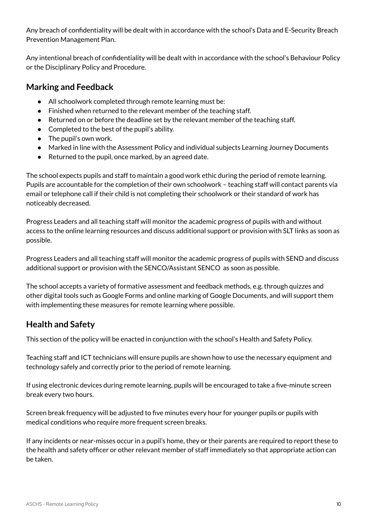Any breach of confidentiality will be dealt with in accordance with the school's Data and E-Security Breach Prevention Management Plan.

Any intentional breach of confidentiality will be dealt with in accordance with the school's Behaviour Policy or the Disciplinary Policy and Procedure.

## <span id="page-10-0"></span>**Marking and Feedback**

- All schoolwork completed through remote learning must be:
- Finished when returned to the relevant member of the teaching staff.
- Returned on or before the deadline set by the relevant member of the teaching staff.
- Completed to the best of the pupil's ability.
- The pupil's own work.
- Marked in line with the Assessment Policy and individual subjects Learning Journey Documents
- Returned to the pupil, once marked, by an agreed date.

The school expects pupils and staff to maintain a good work ethic during the period of remote learning. Pupils are accountable for the completion of their own schoolwork – teaching staff will contact parents via email or telephone call if their child is not completing their schoolwork or their standard of work has noticeably decreased.

Progress Leaders and all teaching staff will monitor the academic progress of pupils with and without access to the online learning resources and discuss additional support or provision with SLT links as soon as possible.

Progress Leaders and all teaching staff will monitor the academic progress of pupils with SEND and discuss additional support or provision with the SENCO/Assistant SENCO as soon as possible.

The school accepts a variety of formative assessment and feedback methods, e.g. through quizzes and other digital tools such as Google Forms and online marking of Google Documents, and will support them with implementing these measures for remote learning where possible.

# **Health and Safety**

This section of the policy will be enacted in conjunction with the school's Health and Safety Policy.

Teaching staff and ICT technicians will ensure pupils are shown how to use the necessary equipment and technology safely and correctly prior to the period of remote learning.

If using electronic devices during remote learning, pupils will be encouraged to take a five-minute screen break every two hours.

Screen break frequency will be adjusted to five minutes every hour for younger pupils or pupils with medical conditions who require more frequent screen breaks.

If any incidents or near-misses occur in a pupil's home, they or their parents are required to report these to the health and safety officer or other relevant member of staff immediately so that appropriate action can be taken.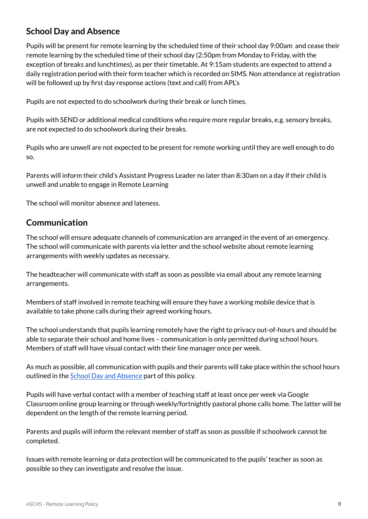# <span id="page-11-0"></span>**School Day and Absence**

Pupils will be present for remote learning by the scheduled time of their school day 9:00am and cease their remote learning by the scheduled time of their school day (2:50pm from Monday to Friday, with the exception of breaks and lunchtimes), as per their timetable. At 9:15am students are expected to attend a daily registration period with their form teacher which is recorded on SIMS. Non attendance at registration will be followed up by first day response actions (text and call) from APL's

Pupils are not expected to do schoolwork during their break or lunch times.

Pupils with SEND or additional medical conditions who require more regular breaks, e.g. sensory breaks, are not expected to do schoolwork during their breaks.

Pupils who are unwell are not expected to be present for remote working until they are well enough to do so.

Parents will inform their child's Assistant Progress Leader no later than 8:30am on a day if their child is unwell and unable to engage in Remote Learning

The school will monitor absence and lateness.

## **Communication**

The school will ensure adequate channels of communication are arranged in the event of an emergency. The school will communicate with parents via letter and the school website about remote learning arrangements with weekly updates as necessary.

The headteacher will communicate with staff as soon as possible via email about any remote learning arrangements.

Members of staff involved in remote teaching will ensure they have a working mobile device that is available to take phone calls during their agreed working hours.

The school understands that pupils learning remotely have the right to privacy out-of-hours and should be able to separate their school and home lives – communication is only permitted during school hours. Members of staff will have visual contact with their line manager once per week.

As much as possible, all communication with pupils and their parents will take place within the school hours outlined in the School Day and [Absence](#page-11-0) part of this policy.

Pupils will have verbal contact with a member of teaching staff at least once per week via Google Classroom online group learning or through weekly/fortnightly pastoral phone calls home. The latter will be dependent on the length of the remote learning period.

Parents and pupils will inform the relevant member of staff as soon as possible if schoolwork cannot be completed.

Issues with remote learning or data protection will be communicated to the pupils' teacher as soon as possible so they can investigate and resolve the issue.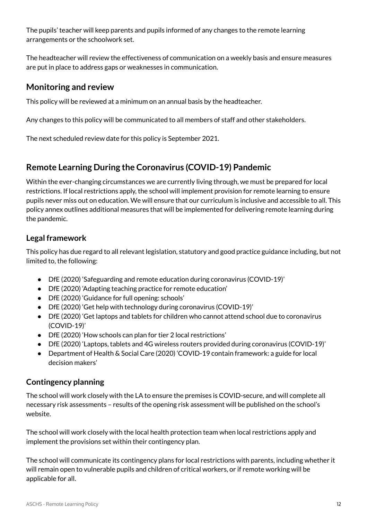The pupils' teacher will keep parents and pupils informed of any changes to the remote learning arrangements or the schoolwork set.

The headteacher will review the effectiveness of communication on a weekly basis and ensure measures are put in place to address gaps or weaknesses in communication.

## **Monitoring and review**

This policy will be reviewed at a minimum on an annual basis by the headteacher.

Any changes to this policy will be communicated to all members of staff and other stakeholders.

The next scheduled review date for this policy is September 2021.

# **Remote Learning During the Coronavirus (COVID-19) Pandemic**

Within the ever-changing circumstances we are currently living through, we must be prepared for local restrictions. If local restrictions apply, the school will implement provision for remote learning to ensure pupils never miss out on education. We will ensure that our curriculum is inclusive and accessible to all. This policy annex outlines additional measures that will be implemented for delivering remote learning during the pandemic.

## **Legal framework**

This policy has due regard to all relevant legislation, statutory and good practice guidance including, but not limited to, the following:

- DfE (2020) 'Safeguarding and remote education during coronavirus (COVID-19)'
- DfE (2020) 'Adapting teaching practice for remote education'
- DfE (2020) 'Guidance for full opening: schools'
- DfE (2020) 'Get help with technology during coronavirus (COVID-19)'
- DfE (2020) 'Get laptops and tablets for children who cannot attend school due to coronavirus (COVID-19)'
- DfE (2020) 'How schools can plan for tier 2 local restrictions'
- DfE (2020) 'Laptops, tablets and 4G wireless routers provided during coronavirus (COVID-19)'
- Department of Health & Social Care (2020) 'COVID-19 contain framework: a guide for local decision makers'

## **Contingency planning**

The school will work closely with the LA to ensure the premises is COVID-secure, and will complete all necessary risk assessments – results of the opening risk assessment will be published on the school's website.

The school will work closely with the local health protection team when local restrictions apply and implement the provisions set within their contingency plan.

The school will communicate its contingency plans for local restrictions with parents, including whether it will remain open to vulnerable pupils and children of critical workers, or if remote working will be applicable for all.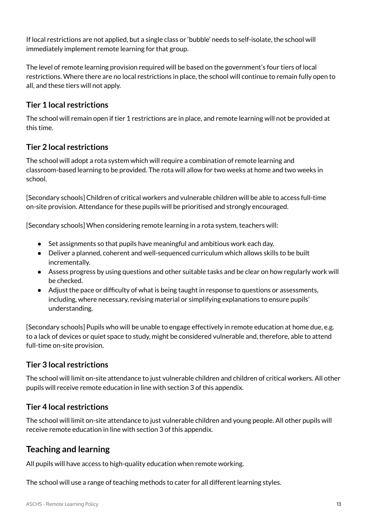If local restrictions are not applied, but a single class or 'bubble' needs to self-isolate, the school will immediately implement remote learning for that group.

The level of remote learning provision required will be based on the government's four tiers of local restrictions. Where there are no local restrictions in place, the school will continue to remain fully open to all, and these tiers will not apply.

## **Tier 1 local restrictions**

The school will remain open if tier 1 restrictions are in place, and remote learning will not be provided at this time.

## **Tier 2 local restrictions**

The school will adopt a rota system which will require a combination of remote learning and classroom-based learning to be provided. The rota will allow for two weeks at home and two weeks in school.

[Secondary schools] Children of critical workers and vulnerable children will be able to access full-time on-site provision. Attendance for these pupils will be prioritised and strongly encouraged.

[Secondary schools] When considering remote learning in a rota system, teachers will:

- Set assignments so that pupils have meaningful and ambitious work each day.
- Deliver a planned, coherent and well-sequenced curriculum which allows skills to be built incrementally.
- Assess progress by using questions and other suitable tasks and be clear on how regularly work will be checked.
- Adjust the pace or difficulty of what is being taught in response to questions or assessments, including, where necessary, revising material or simplifying explanations to ensure pupils' understanding.

[Secondary schools] Pupils who will be unable to engage effectively in remote education at home due, e.g. to a lack of devices or quiet space to study, might be considered vulnerable and, therefore, able to attend full-time on-site provision.

## **Tier 3 local restrictions**

The school will limit on-site attendance to just vulnerable children and children of critical workers. All other pupils will receive remote education in line with section 3 of this appendix.

## **Tier 4 local restrictions**

The school will limit on-site attendance to just vulnerable children and young people. All other pupils will receive remote education in line with section 3 of this appendix.

# **Teaching and learning**

All pupils will have access to high-quality education when remote working.

The school will use a range of teaching methods to cater for all different learning styles.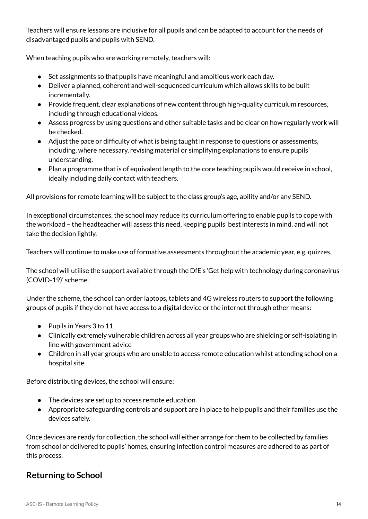Teachers will ensure lessons are inclusive for all pupils and can be adapted to account for the needs of disadvantaged pupils and pupils with SEND.

When teaching pupils who are working remotely, teachers will:

- Set assignments so that pupils have meaningful and ambitious work each day.
- Deliver a planned, coherent and well-sequenced curriculum which allows skills to be built incrementally.
- Provide frequent, clear explanations of new content through high-quality curriculum resources, including through educational videos.
- Assess progress by using questions and other suitable tasks and be clear on how regularly work will be checked.
- Adjust the pace or difficulty of what is being taught in response to questions or assessments, including, where necessary, revising material or simplifying explanations to ensure pupils' understanding.
- Plan a programme that is of equivalent length to the core teaching pupils would receive in school, ideally including daily contact with teachers.

All provisions for remote learning will be subject to the class group's age, ability and/or any SEND.

In exceptional circumstances, the school may reduce its curriculum offering to enable pupils to cope with the workload – the headteacher will assess this need, keeping pupils' best interests in mind, and will not take the decision lightly.

Teachers will continue to make use of formative assessments throughout the academic year, e.g. quizzes.

The school will utilise the support available through the DfE's 'Get help with technology during coronavirus (COVID-19)' scheme.

Under the scheme, the school can order laptops, tablets and 4G wireless routers to support the following groups of pupils if they do not have access to a digital device or the internet through other means:

- Pupils in Years 3 to 11
- Clinically extremely vulnerable children across all year groups who are shielding or self-isolating in line with government advice
- Children in all year groups who are unable to access remote education whilst attending school on a hospital site.

Before distributing devices, the school will ensure:

- The devices are set up to access remote education.
- Appropriate safeguarding controls and support are in place to help pupils and their families use the devices safely.

Once devices are ready for collection, the school will either arrange for them to be collected by families from school or delivered to pupils' homes, ensuring infection control measures are adhered to as part of this process.

# **Returning to School**